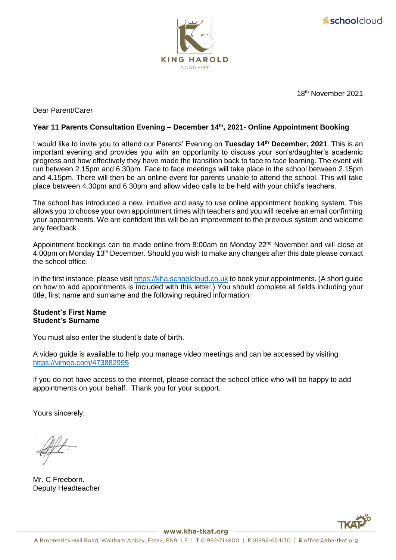



18 th November 2021

# Dear Parent/Carer

#### **Year 11 Parents Consultation Evening – December 14th, 2021- Online Appointment Booking**

I would like to invite you to attend our Parents' Evening on **Tuesday 14th December, 2021**. This is an important evening and provides you with an opportunity to discuss your son's/daughter's academic progress and how effectively they have made the transition back to face to face learning. The event will run between 2.15pm and 6.30pm. Face to face meetings will take place in the school between 2.15pm and 4.15pm. There will then be an online event for parents unable to attend the school. This will take place between 4.30pm and 6.30pm and allow video calls to be held with your child's teachers.

The school has introduced a new, intuitive and easy to use online appointment booking system. This allows you to choose your own appointment times with teachers and you will receive an email confirming your appointments. We are confident this will be an improvement to the previous system and welcome any feedback.

Appointment bookings can be made online from 8:00am on Monday 22<sup>nd</sup> November and will close at 4:00pm on Monday 13th December. Should you wish to make any changes after this date please contact the school office.

In the first instance, please visi[t https://kha.schoolcloud.co.uk](https://kha.schoolcloud.co.uk/) to book your appointments. (A short guide on how to add appointments is included with this letter.) You should complete all fields including your title, first name and surname and the following required information:

#### **Student's First Name Student's Surname**

You must also enter the student's date of birth.

A video guide is available to help you manage video meetings and can be accessed by visiting <https://vimeo.com/473882995>

If you do not have access to the internet, please contact the school office who will be happy to add appointments on your behalf. Thank you for your support.

Yours sincerely,

Mr. C Freeborn. Deputy Headteacher



– www.kha-tkat.org –